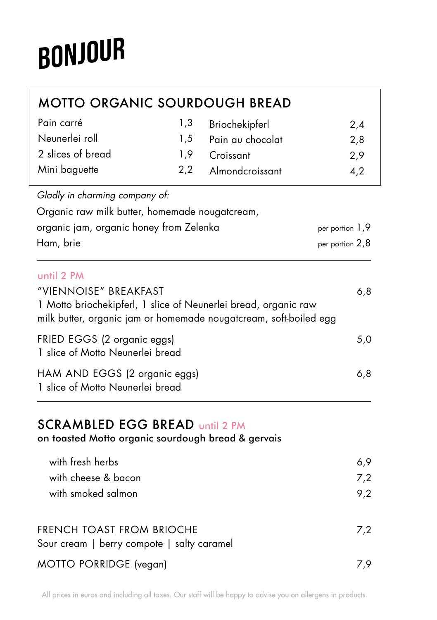# BONJOUR

| <b>MOTTO ORGANIC SOURDOUGH BREAD</b>                                                                                                 |     |                  |                 |
|--------------------------------------------------------------------------------------------------------------------------------------|-----|------------------|-----------------|
| Pain carré                                                                                                                           | 1,3 | Briochekipferl   | 2,4             |
| Neunerlei roll                                                                                                                       | 1,5 | Pain au chocolat | 2,8             |
| 2 slices of bread                                                                                                                    | 1,9 | Croissant        | 2,9             |
| Mini baguette                                                                                                                        | 2,2 | Almondcroissant  | 4,2             |
| Gladly in charming company of:                                                                                                       |     |                  |                 |
| Organic raw milk butter, homemade nougatcream,                                                                                       |     |                  |                 |
| organic jam, organic honey from Zelenka                                                                                              |     |                  | per portion 1,9 |
| Ham, brie                                                                                                                            |     |                  | per portion 2,8 |
| until 2 PM                                                                                                                           |     |                  |                 |
| "VIENNOISE" BREAKFAST                                                                                                                |     |                  | 6,8             |
| 1 Motto briochekipferl, 1 slice of Neunerlei bread, organic raw<br>milk butter, organic jam or homemade nougatcream, soft-boiled egg |     |                  |                 |
| FRIED EGGS (2 organic eggs)<br>1 slice of Motto Neunerlei bread                                                                      |     |                  | 5,0             |
| HAM AND EGGS (2 organic eggs)<br>1 slice of Motto Neunerlei bread                                                                    |     |                  | 6,8             |
| <b>SCRAMBLED EGG BREAD Until 2 PM</b>                                                                                                |     |                  |                 |

on toasted Motto organic sourdough bread & gervais

| with fresh herbs                                                        | 6.9 |
|-------------------------------------------------------------------------|-----|
| with cheese & bacon                                                     | 7.2 |
| with smoked salmon                                                      | 9.2 |
| FRENCH TOAST FROM BRIOCHE<br>Sour cream   berry compote   salty caramel | 7.2 |
| MOTTO PORRIDGE (vegan)                                                  |     |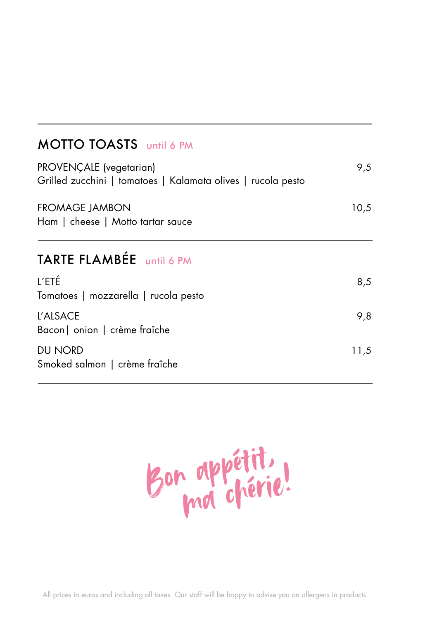## MOTTO TOASTS until 6 PM

| PROVENÇALE (vegetarian)<br>Grilled zucchini   tomatoes   Kalamata olives   rucola pesto | 9,5  |  |
|-----------------------------------------------------------------------------------------|------|--|
| <b>FROMAGE JAMBON</b><br>Ham   cheese   Motto tartar sauce                              | 10,5 |  |
| TARTE FLAMBÉE until 6 PM                                                                |      |  |
| L'ETÉ<br>Tomatoes   mozzarella   rucola pesto                                           | 8,5  |  |
| L'ALSACE<br>Bacon   onion   crème fraîche                                               | 9,8  |  |
| DU NORD<br>Smoked salmon   crème fraîche                                                | 11,5 |  |

Bon appétit, Bon appering!

All prices in euros and including all taxes. Our staff will be happy to advise you on allergens in products.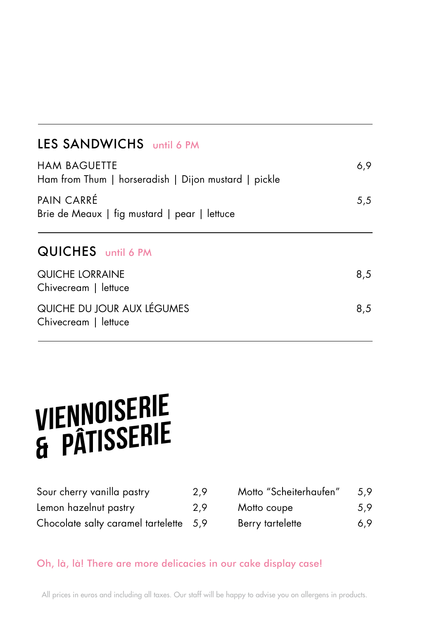### LES SANDWICHS until 6 PM

| <b>HAM BAGUETTE</b><br>Ham from Thum   horseradish   Dijon mustard   pickle |     |
|-----------------------------------------------------------------------------|-----|
| PAIN CARRÉ<br>Brie de Meaux   fig mustard   pear   lettuce                  | 5,5 |
| <b>QUICHES</b> until 6 PM                                                   |     |
| QUICHE LORRAINE<br>Chivecream   lettuce                                     | 8,5 |
| QUICHE DU JOUR AUX LÉGUMES<br>Chivecream   lettuce                          | 8,5 |

# VIENNOISERIE & PÂTISSERIE

| Sour cherry vanilla pastry             | 2,9 |
|----------------------------------------|-----|
| Lemon hazelnut pastry                  | 2,9 |
| Chocolate salty caramel tartelette 5,9 |     |

| Motto "Scheiterhaufen" | 5.9 |
|------------------------|-----|
| Motto coupe            | 5.9 |
| Berry tartelette       | 6.9 |

#### Oh, là, là! There are more delicacies in our cake display case!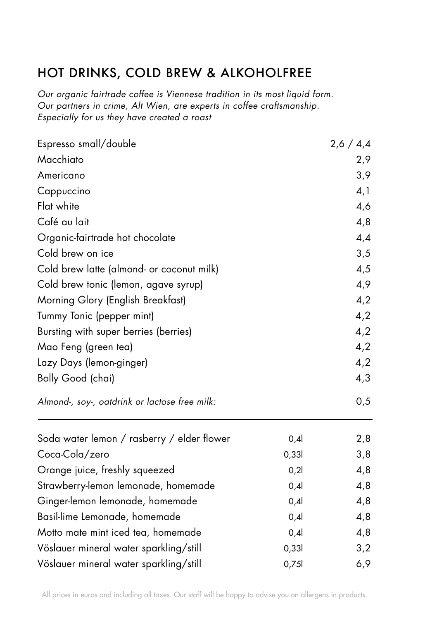## HOT DRINKS, COLD BREW & ALKOHOLFREE

*Our organic fairtrade coffee is Viennese tradition in its most liquid form. Our partners in crime, Alt Wien, are experts in coffee craftsmanship. Especially for us they have created a roast*

| Espresso small/double                                                                                   | 2,6/4,4 |     |                          |  |     |
|---------------------------------------------------------------------------------------------------------|---------|-----|--------------------------|--|-----|
| Macchiato                                                                                               | 2,9     |     |                          |  |     |
| Americano                                                                                               | 3,9     |     |                          |  |     |
| Cappuccino                                                                                              |         |     |                          |  |     |
| Flat white                                                                                              |         | 4,6 |                          |  |     |
| Café au lait                                                                                            |         | 4,8 |                          |  |     |
| Organic-fairtrade hot chocolate                                                                         |         | 4,4 |                          |  |     |
| Cold brew on ice                                                                                        |         | 3,5 |                          |  |     |
| Cold brew latte (almond- or coconut milk)                                                               |         | 4,5 |                          |  |     |
| Cold brew tonic (lemon, agave syrup)                                                                    |         | 4,9 |                          |  |     |
| Morning Glory (English Breakfast)<br>Tummy Tonic (pepper mint)<br>Bursting with super berries (berries) |         |     |                          |  |     |
|                                                                                                         |         |     | Mao Feng (green tea)     |  | 4,2 |
|                                                                                                         |         |     | Lazy Days (lemon-ginger) |  |     |
| Bolly Good (chai)                                                                                       |         | 4,3 |                          |  |     |
| Almond-, soy-, oatdrink or lactose free milk:                                                           |         | 0,5 |                          |  |     |
| Soda water lemon / rasberry / elder flower                                                              | 0,4     | 2,8 |                          |  |     |
| Coca-Cola/zero                                                                                          | 0,331   | 3,8 |                          |  |     |
| Orange juice, freshly squeezed                                                                          | 0,21    | 4,8 |                          |  |     |
| Strawberry-lemon lemonade, homemade                                                                     | 0,4     | 4,8 |                          |  |     |
| Ginger-lemon lemonade, homemade                                                                         | 0,4     | 4,8 |                          |  |     |
| Basil-lime Lemonade, homemade                                                                           | 0,4     | 4,8 |                          |  |     |
| Motto mate mint iced tea, homemade                                                                      | 0,4     | 4,8 |                          |  |     |
| Vöslauer mineral water sparkling/still                                                                  | 0,331   | 3,2 |                          |  |     |
| Vöslauer mineral water sparkling/still                                                                  | 0,75    | 6,9 |                          |  |     |